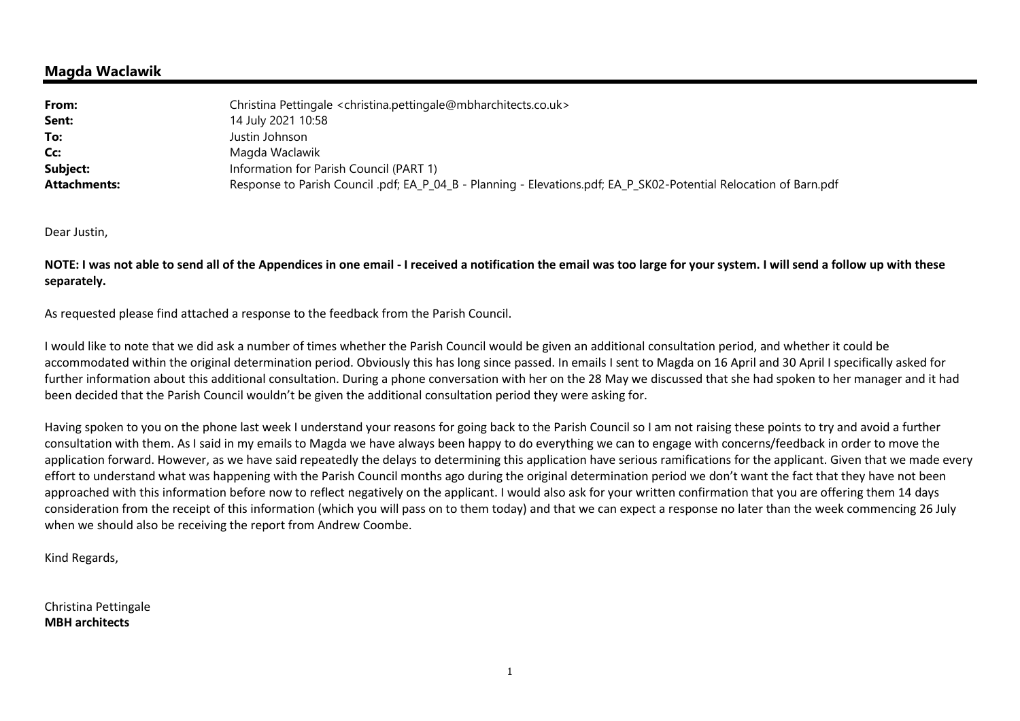## **Magda Waclawik**

| From:               | Christina Pettingale < christina.pettingale@mbharchitects.co.uk>                                                   |
|---------------------|--------------------------------------------------------------------------------------------------------------------|
| Sent:               | 14 July 2021 10:58                                                                                                 |
| To:                 | Justin Johnson                                                                                                     |
| Cc:                 | Magda Waclawik                                                                                                     |
| Subject:            | Information for Parish Council (PART 1)                                                                            |
| <b>Attachments:</b> | Response to Parish Council .pdf; EA_P_04_B - Planning - Elevations.pdf; EA_P_SK02-Potential Relocation of Barn.pdf |

Dear Justin,

**NOTE: I was not able to send all of the Appendices in one email - I received a notification the email was too large for your system. I will send a follow up with these separately.** 

As requested please find attached a response to the feedback from the Parish Council.

I would like to note that we did ask a number of times whether the Parish Council would be given an additional consultation period, and whether it could be accommodated within the original determination period. Obviously this has long since passed. In emails I sent to Magda on 16 April and 30 April I specifically asked for further information about this additional consultation. During a phone conversation with her on the 28 May we discussed that she had spoken to her manager and it had been decided that the Parish Council wouldn't be given the additional consultation period they were asking for.

Having spoken to you on the phone last week I understand your reasons for going back to the Parish Council so I am not raising these points to try and avoid a further consultation with them. As I said in my emails to Magda we have always been happy to do everything we can to engage with concerns/feedback in order to move the application forward. However, as we have said repeatedly the delays to determining this application have serious ramifications for the applicant. Given that we made every effort to understand what was happening with the Parish Council months ago during the original determination period we don't want the fact that they have not been approached with this information before now to reflect negatively on the applicant. I would also ask for your written confirmation that you are offering them 14 days consideration from the receipt of this information (which you will pass on to them today) and that we can expect a response no later than the week commencing 26 July when we should also be receiving the report from Andrew Coombe.

Kind Regards,

Christina Pettingale **MBH architects**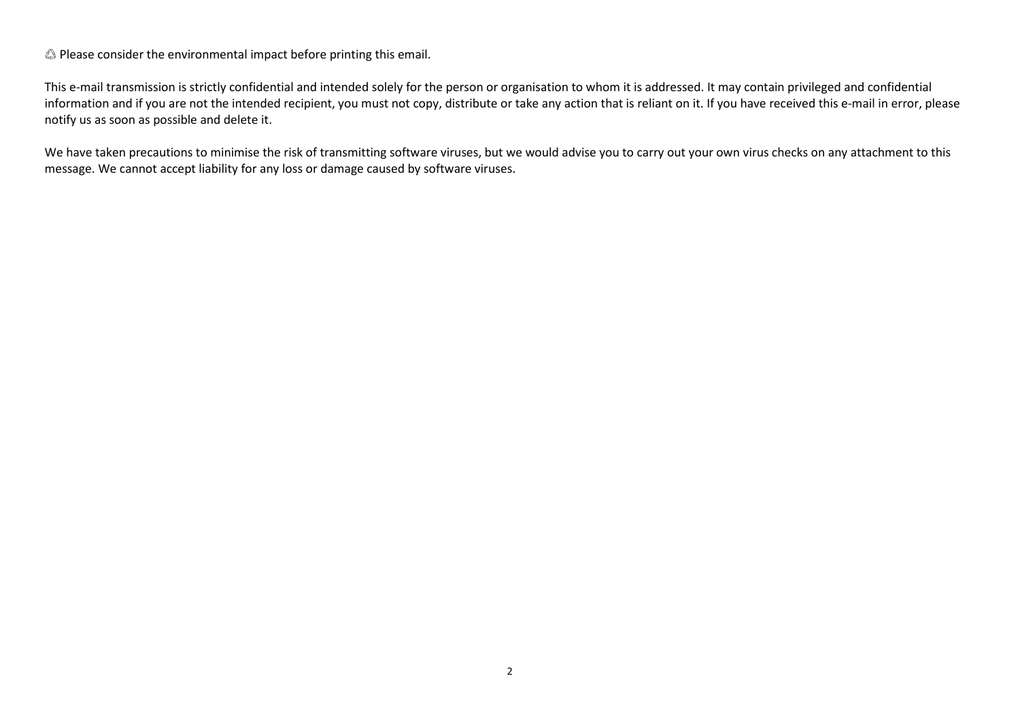♲ Please consider the environmental impact before printing this email.

This e-mail transmission is strictly confidential and intended solely for the person or organisation to whom it is addressed. It may contain privileged and confidential information and if you are not the intended recipient, you must not copy, distribute or take any action that is reliant on it. If you have received this e-mail in error, please notify us as soon as possible and delete it.

We have taken precautions to minimise the risk of transmitting software viruses, but we would advise you to carry out your own virus checks on any attachment to this message. We cannot accept liability for any loss or damage caused by software viruses.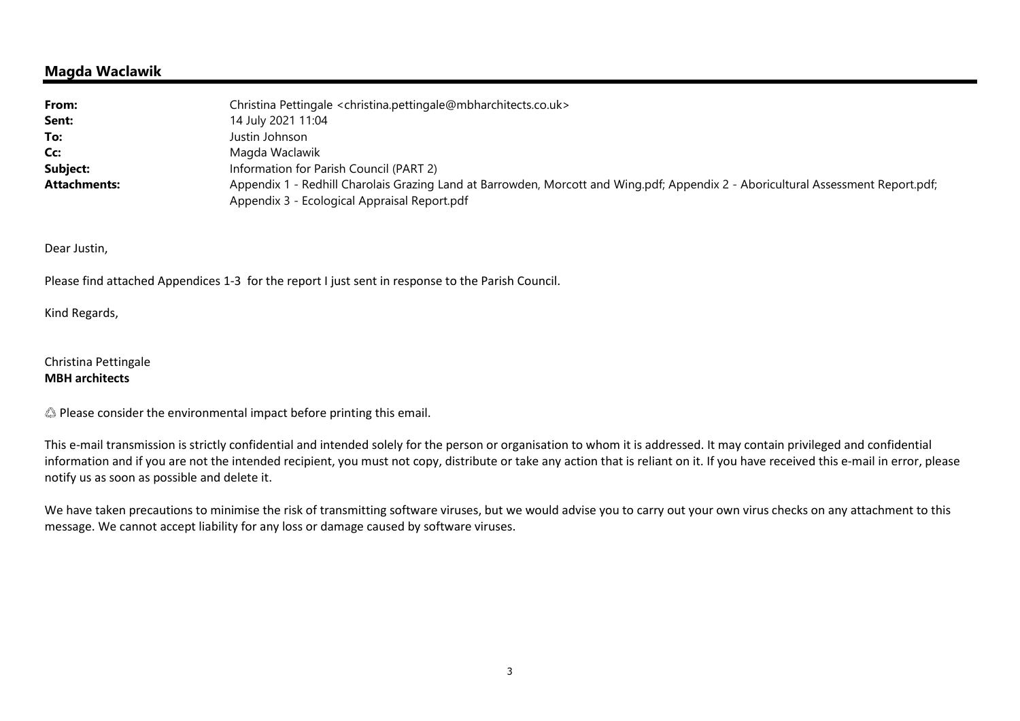## **Magda Waclawik**

| From:               | Christina Pettingale <christina.pettingale@mbharchitects.co.uk></christina.pettingale@mbharchitects.co.uk>                        |  |
|---------------------|-----------------------------------------------------------------------------------------------------------------------------------|--|
| Sent:               | 14 July 2021 11:04                                                                                                                |  |
| To:                 | Justin Johnson                                                                                                                    |  |
| Cc:                 | Magda Waclawik                                                                                                                    |  |
| Subject:            | Information for Parish Council (PART 2)                                                                                           |  |
| <b>Attachments:</b> | Appendix 1 - Redhill Charolais Grazing Land at Barrowden, Morcott and Wing.pdf; Appendix 2 - Aboricultural Assessment Report.pdf; |  |
|                     | Appendix 3 - Ecological Appraisal Report.pdf                                                                                      |  |

Dear Justin,

Please find attached Appendices 1-3 for the report I just sent in response to the Parish Council.

Kind Regards,

Christina Pettingale **MBH architects**

♲ Please consider the environmental impact before printing this email.

This e-mail transmission is strictly confidential and intended solely for the person or organisation to whom it is addressed. It may contain privileged and confidential information and if you are not the intended recipient, you must not copy, distribute or take any action that is reliant on it. If you have received this e-mail in error, please notify us as soon as possible and delete it.

We have taken precautions to minimise the risk of transmitting software viruses, but we would advise you to carry out your own virus checks on any attachment to this message. We cannot accept liability for any loss or damage caused by software viruses.